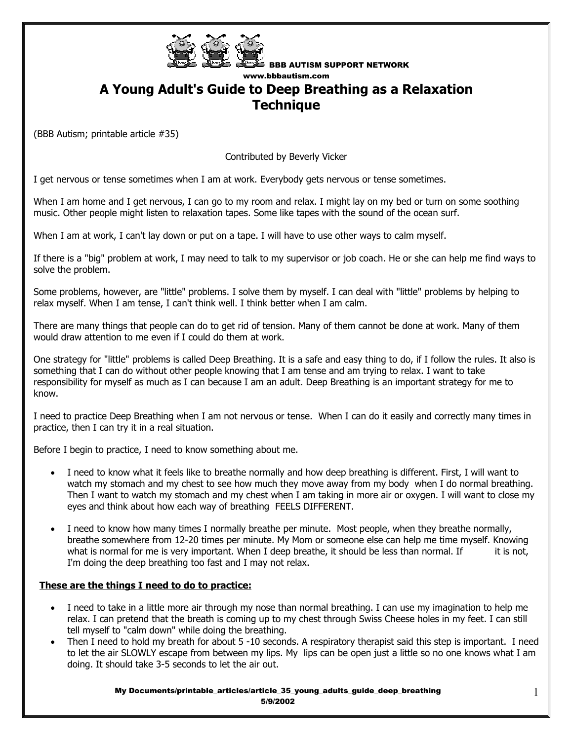

www.bbbautism.com

BBB AUTISM SUPPORT NETWORK

## **A Young Adult's Guide to Deep Breathing as a Relaxation Technique**

(BBB Autism; printable article #35)

Contributed by Beverly Vicker

I get nervous or tense sometimes when I am at work. Everybody gets nervous or tense sometimes.

When I am home and I get nervous, I can go to my room and relax. I might lay on my bed or turn on some soothing music. Other people might listen to relaxation tapes. Some like tapes with the sound of the ocean surf.

When I am at work, I can't lay down or put on a tape. I will have to use other ways to calm myself.

If there is a "big" problem at work, I may need to talk to my supervisor or job coach. He or she can help me find ways to solve the problem.

Some problems, however, are "little" problems. I solve them by myself. I can deal with "little" problems by helping to relax myself. When I am tense, I can't think well. I think better when I am calm.

There are many things that people can do to get rid of tension. Many of them cannot be done at work. Many of them would draw attention to me even if I could do them at work.

One strategy for "little" problems is called Deep Breathing. It is a safe and easy thing to do, if I follow the rules. It also is something that I can do without other people knowing that I am tense and am trying to relax. I want to take responsibility for myself as much as I can because I am an adult. Deep Breathing is an important strategy for me to know

I need to practice Deep Breathing when I am not nervous or tense. When I can do it easily and correctly many times in practice, then I can try it in a real situation.

Before I begin to practice, I need to know something about me.

- I need to know what it feels like to breathe normally and how deep breathing is different. First, I will want to watch my stomach and my chest to see how much they move away from my body when I do normal breathing. Then I want to watch my stomach and my chest when I am taking in more air or oxygen. I will want to close my eyes and think about how each way of breathing FEELS DIFFERENT.
- I need to know how many times I normally breathe per minute. Most people, when they breathe normally, breathe somewhere from 12-20 times per minute. My Mom or someone else can help me time myself. Knowing what is normal for me is very important. When I deep breathe, it should be less than normal. If it is not, I'm doing the deep breathing too fast and I may not relax.

## **These are the things I need to do to practice:**

- I need to take in a little more air through my nose than normal breathing. I can use my imagination to help me relax. I can pretend that the breath is coming up to my chest through Swiss Cheese holes in my feet. I can still tell myself to "calm down" while doing the breathing.
- Then I need to hold my breath for about 5 -10 seconds. A respiratory therapist said this step is important. I need to let the air SLOWLY escape from between my lips. My lips can be open just a little so no one knows what I am doing. It should take 3-5 seconds to let the air out.

My Documents/printable\_articles/article\_35\_young\_adults\_guide\_deep\_breathing 5/9/2002